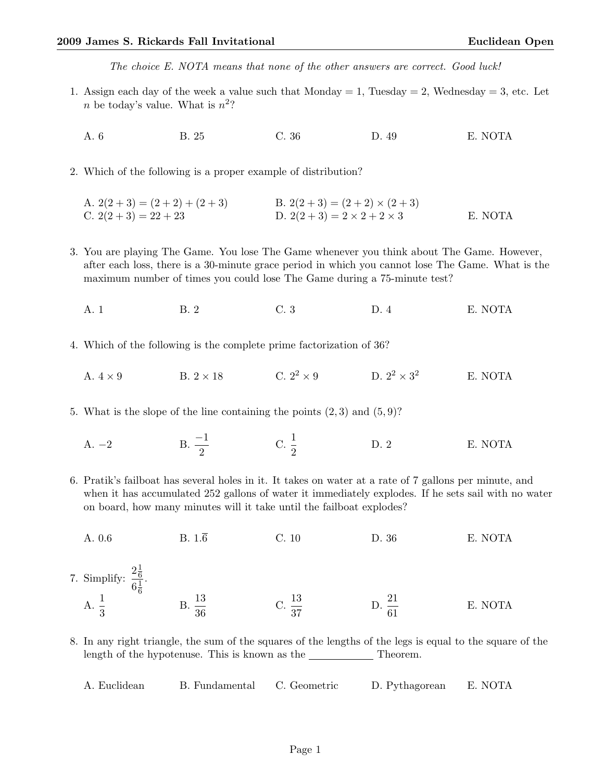The choice E. NOTA means that none of the other answers are correct. Good luck!

- 1. Assign each day of the week a value such that  $Monday = 1$ , Tuesday  $= 2$ , Wednesday  $= 3$ , etc. Let *n* be today's value. What is  $n^2$ ?
	- A. 6 B. 25 C. 36 D. 49 E. NOTA
- 2. Which of the following is a proper example of distribution?

A. 
$$
2(2+3) = (2+2) + (2+3)
$$
  
\nB.  $2(2+3) = (2+2) \times (2+3)$   
\nC.  $2(2+3) = 22+23$   
\nD.  $2(2+3) = 2 \times 2 + 2 \times 3$   
\nE. NOTA

- 3. You are playing The Game. You lose The Game whenever you think about The Game. However, after each loss, there is a 30-minute grace period in which you cannot lose The Game. What is the maximum number of times you could lose The Game during a 75-minute test?
	- A. 1 B. 2 C. 3 D. 4 E. NOTA
- 4. Which of the following is the complete prime factorization of 36?
	- A.  $4 \times 9$  B.  $2 \times 18$  C.  $2^2 \times 9$  D.  $2^2 \times 3^2$ E. NOTA
- 5. What is the slope of the line containing the points  $(2,3)$  and  $(5,9)$ ?
	- A. –2 B.  $\frac{-1}{2}$  C.  $\frac{1}{2}$ D. 2 E. NOTA
- 6. Pratik's failboat has several holes in it. It takes on water at a rate of 7 gallons per minute, and when it has accumulated 252 gallons of water it immediately explodes. If he sets sail with no water on board, how many minutes will it take until the failboat explodes?
- A. 0.6 B.  $1.\overline{6}$  C. 10 D. 36 E. NOTA 7. Simplify:  $2\frac{1}{6}$ 6  $6\frac{1}{6}$ 6 . A.  $\frac{1}{3}$ B.  $\frac{13}{36}$ C.  $\frac{13}{37}$  $D. \ \frac{21}{61}$ E. NOTA
- 8. In any right triangle, the sum of the squares of the lengths of the legs is equal to the square of the length of the hypotenuse. This is known as the  $\_\_\_\_\_\_$  Theorem.

A. Euclidean B. Fundamental C. Geometric D. Pythagorean E. NOTA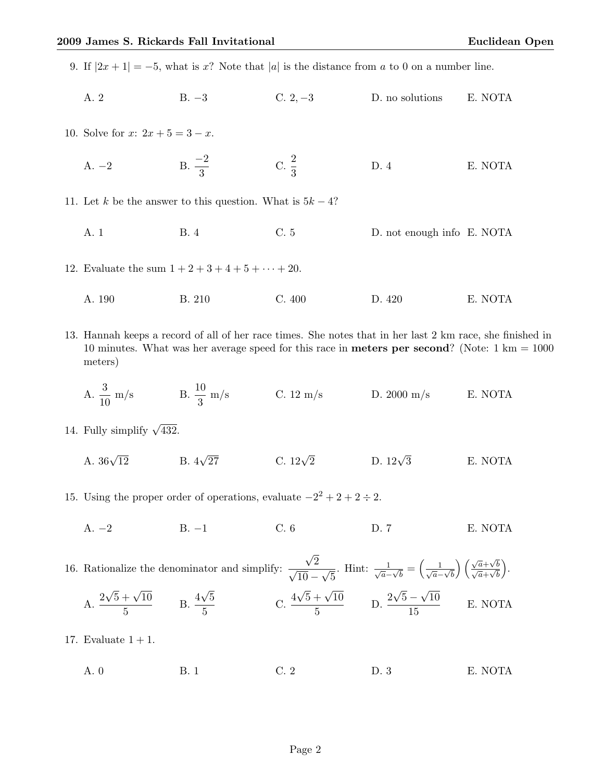9. If  $|2x+1| = -5$ , what is x? Note that |a| is the distance from a to 0 on a number line.

A. 2 B. −3 C. 2, −3 D. no solutions E. NOTA

10. Solve for  $x: 2x + 5 = 3 - x$ .

A.  $-2$  B.  $\frac{-2}{3}$ C.  $\frac{2}{3}$ D. 4 E. NOTA

11. Let k be the answer to this question. What is  $5k - 4$ ?

- A. 1 B. 4 C. 5 D. not enough info E. NOTA
- 12. Evaluate the sum  $1 + 2 + 3 + 4 + 5 + \cdots + 20$ .
	- A. 190 B. 210 C. 400 D. 420 E. NOTA
- 13. Hannah keeps a record of all of her race times. She notes that in her last 2 km race, she finished in 10 minutes. What was her average speed for this race in **meters per second**? (Note:  $1 \text{ km} = 1000$ ) meters)
	- A.  $\frac{3}{10}$  m/s B.  $\frac{10}{3}$  m/s C. 12 m/s D. 2000 m/s E. NOTA
- 14. Fully simplify  $\sqrt{432}$ .
	- A.  $36\sqrt{12}$ B.  $4\sqrt{27}$ C.  $12\sqrt{2}$ D.  $12\sqrt{3}$ E. NOTA
- 15. Using the proper order of operations, evaluate  $-2^2 + 2 + 2 \div 2$ .
	- A. −2 B. −1 C. 6 D. 7 E. NOTA

16. Rationalize the denominator and simplify: √  $\frac{\sqrt{2}}{\sqrt{2}}$  $10 -$ √ 5 . Hint:  $\frac{1}{\sqrt{a}-\sqrt{b}} = \left(\frac{1}{\sqrt{a}-\sqrt{b}}\right)$  $\left(\sqrt{\frac{a+\sqrt{b}}{\sqrt{a+\sqrt{b}}}}\right)$  .  $A.^2$  $\sqrt{5} + \sqrt{10}$  $\frac{+\sqrt{10}}{5}$  B.  $\frac{4}{-}$ √ 5  $\frac{\sqrt{5}}{5}$  C.  $\frac{4}{5}$  $\sqrt{5} + \sqrt{10}$  $\frac{+\sqrt{10}}{5}$  D.  $\frac{2}{-}$ √  $5-$ √ 10 15 E. NOTA

- 17. Evaluate  $1 + 1$ .
	- A. 0 B. 1 C. 2 D. 3 E. NOTA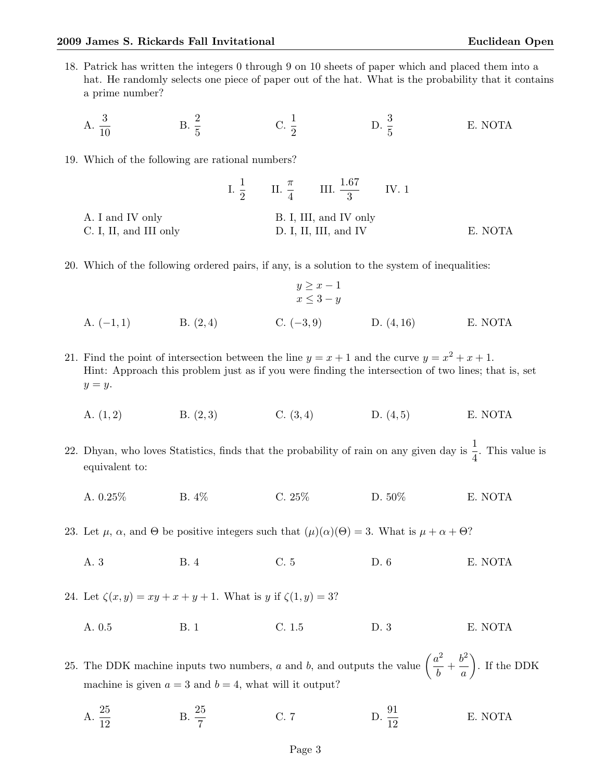- 18. Patrick has written the integers 0 through 9 on 10 sheets of paper which and placed them into a hat. He randomly selects one piece of paper out of the hat. What is the probability that it contains a prime number?
	- A.  $\frac{3}{10}$  $B. \frac{2}{5}$  $\operatorname{C.} \frac{1}{2}$ D.  $\frac{3}{5}$ E. NOTA
- 19. Which of the following are rational numbers?

|                        |                        |  | I. $\frac{1}{2}$ II. $\frac{\pi}{4}$ III. $\frac{1.67}{3}$ IV. 1 |  |         |
|------------------------|------------------------|--|------------------------------------------------------------------|--|---------|
| A. I and IV only       | B. I, III, and IV only |  |                                                                  |  |         |
| C. I, II, and III only | D. I, II, III, and IV  |  |                                                                  |  | E. NOTA |

20. Which of the following ordered pairs, if any, is a solution to the system of inequalities:

$$
y \ge x - 1
$$
  
\n $x \le 3 - y$   
\nA. (-1,1) B. (2,4) C. (-3,9) D. (4,16) E. NOTA

- 21. Find the point of intersection between the line  $y = x + 1$  and the curve  $y = x^2 + x + 1$ . Hint: Approach this problem just as if you were finding the intersection of two lines; that is, set  $y = y$ .
	- A.  $(1, 2)$  B.  $(2, 3)$  C.  $(3, 4)$  D.  $(4, 5)$  E. NOTA
- 22. Dhyan, who loves Statistics, finds that the probability of rain on any given day is  $\frac{1}{4}$ . This value is equivalent to:
	- A. 0.25% B. 4% C. 25% D. 50% E. NOTA
- 23. Let  $\mu$ ,  $\alpha$ , and  $\Theta$  be positive integers such that  $(\mu)(\alpha)(\Theta) = 3$ . What is  $\mu + \alpha + \Theta$ ?
	- A. 3 B. 4 C. 5 D. 6 E. NOTA

24. Let  $\zeta(x, y) = xy + x + y + 1$ . What is y if  $\zeta(1, y) = 3$ ?

A. 0.5 B. 1 C. 1.5 D. 3 E. NOTA

25. The DDK machine inputs two numbers, a and b, and outputs the value  $\left(\frac{a^2}{l}\right)$  $\frac{u^2}{b} + \frac{b^2}{a}$ a . If the DDK machine is given  $a = 3$  and  $b = 4$ , what will it output?

A.  $\frac{25}{12}$  $B. \ \frac{25}{7}$ C. 7 D.  $\frac{91}{12}$ E. NOTA